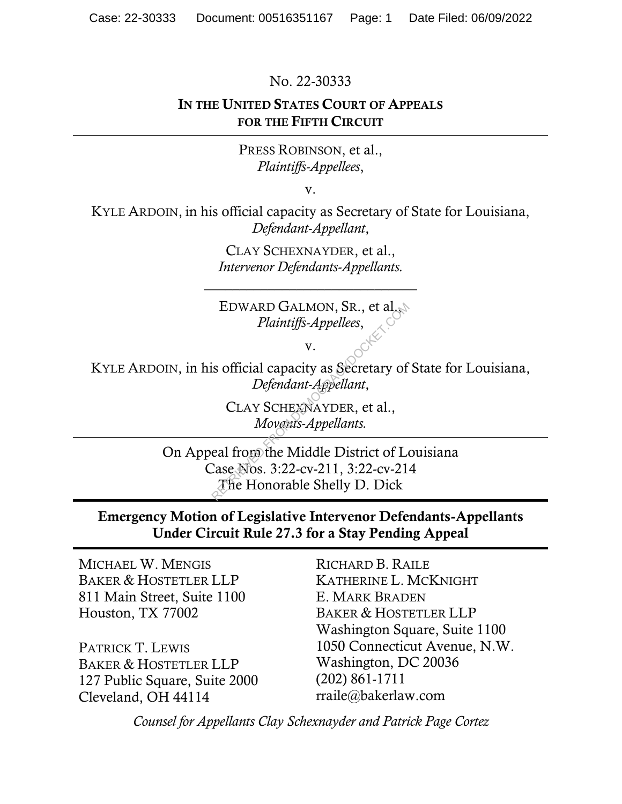No. 22-30333

#### IN THE UNITED STATES COURT OF APPEALS FOR THE FIFTH CIRCUIT

PRESS ROBINSON, et al., *Plaintiffs-Appellees*,

v.

KYLE ARDOIN, in his official capacity as Secretary of State for Louisiana, *Defendant-Appellant*,

> CLAY SCHEXNAYDER, et al., *Intervenor Defendants-Appellants.*

\_\_\_\_\_\_\_\_\_\_\_\_\_\_\_\_\_\_\_\_\_\_\_\_\_\_\_\_\_\_

EDWARD GALMON, SR., et al., *Plaintiffs-Appellees*,

v.

KYLE ARDOIN, in his official capacity as Secretary of State for Louisiana, *Defendant-Appellant*,

> CLAY SCHEXNAYDER, et al., *Movants-Appellants.*

On Appeal from the Middle District of Louisiana Case Nos. 3:22-cv-211, 3:22-cv-214 The Honorable Shelly D. Dick EDWARD GALMON, SR., et al.<br> *Plaintiffs-Appellees*,<br>
v.<br>
is official capacity as Secretary of<br> *Defendant-Appellant*,<br>
CLAY SCHEXNAYDER, et al.,<br> *Movents-Appellants.*<br>
eal from the Middle District of Lase Nos. 3:22-cv-211

### Emergency Motion of Legislative Intervenor Defendants-Appellants Under Circuit Rule 27.3 for a Stay Pending Appeal

MICHAEL W. MENGIS BAKER & HOSTETLER LLP 811 Main Street, Suite 1100 Houston, TX 77002

PATRICK T. LEWIS BAKER & HOSTETLER LLP 127 Public Square, Suite 2000 Cleveland, OH 44114

RICHARD B. RAILE KATHERINE L. MCKNIGHT E. MARK BRADEN BAKER & HOSTETLER LLP Washington Square, Suite 1100 1050 Connecticut Avenue, N.W. Washington, DC 20036 (202) 861-1711 rraile@bakerlaw.com

*Counsel for Appellants Clay Schexnayder and Patrick Page Cortez*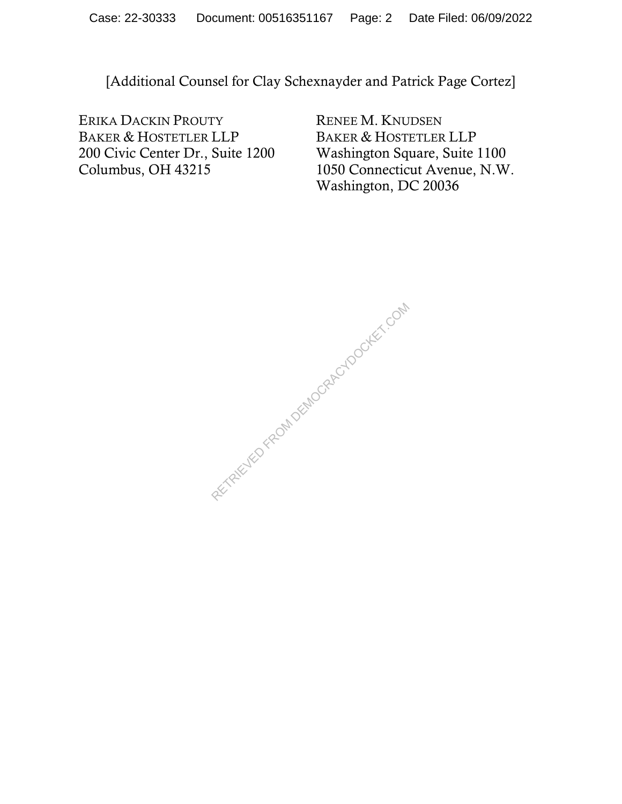[Additional Counsel for Clay Schexnayder and Patrick Page Cortez]

ERIKA DACKIN PROUTY BAKER & HOSTETLER LLP 200 Civic Center Dr., Suite 1200 Columbus, OH 43215

RENEE M. KNUDSEN BAKER & HOSTETLER LLP Washington Square, Suite 1100 1050 Connecticut Avenue, N.W. Washington, DC 20036

RETRIEVED FROM DEMOCRACYDOCKET.COM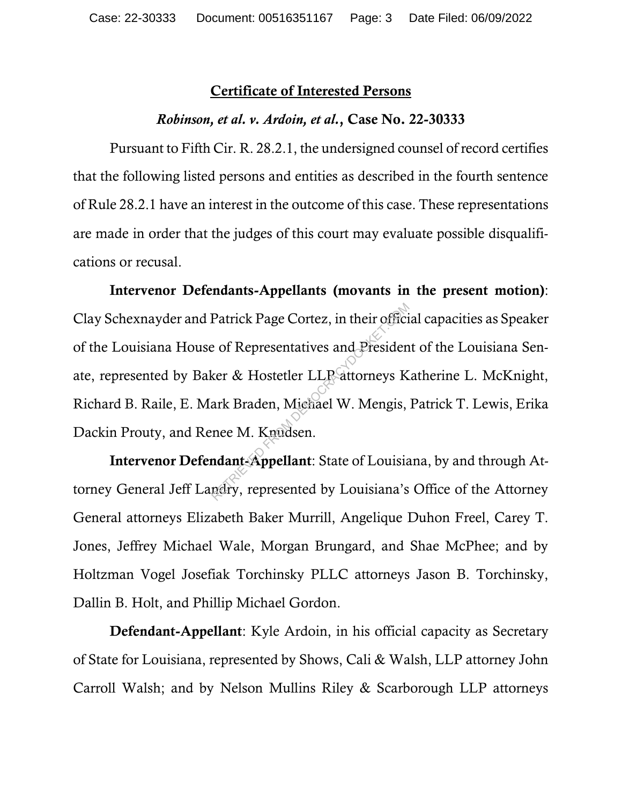#### Certificate of Interested Persons

#### *Robinson, et al. v. Ardoin, et al.*, Case No. 22-30333

Pursuant to Fifth Cir. R. 28.2.1, the undersigned counsel of record certifies that the following listed persons and entities as described in the fourth sentence of Rule 28.2.1 have an interest in the outcome of this case. These representations are made in order that the judges of this court may evaluate possible disqualifications or recusal.

Intervenor Defendants-Appellants (movants in the present motion): Clay Schexnayder and Patrick Page Cortez, in their official capacities as Speaker of the Louisiana House of Representatives and President of the Louisiana Senate, represented by Baker & Hostetler LLP attorneys Katherine L. McKnight, Richard B. Raile, E. Mark Braden, Michael W. Mengis, Patrick T. Lewis, Erika Dackin Prouty, and Renee M. Knudsen. Patrick Page Cortez, in their offici<br>
e of Representatives and Presiden<br>
ker & Hostetler LLP attorneys K<br>
ark Braden, Michael W. Mengis,<br>
nee M. Knudsen.<br>
ndant-Appellant: State of Louisia<br>
ndant-Appellant: State of Louisi

Intervenor Defendant-Appellant: State of Louisiana, by and through Attorney General Jeff Landry, represented by Louisiana's Office of the Attorney General attorneys Elizabeth Baker Murrill, Angelique Duhon Freel, Carey T. Jones, Jeffrey Michael Wale, Morgan Brungard, and Shae McPhee; and by Holtzman Vogel Josefiak Torchinsky PLLC attorneys Jason B. Torchinsky, Dallin B. Holt, and Phillip Michael Gordon.

Defendant-Appellant: Kyle Ardoin, in his official capacity as Secretary of State for Louisiana, represented by Shows, Cali & Walsh, LLP attorney John Carroll Walsh; and by Nelson Mullins Riley & Scarborough LLP attorneys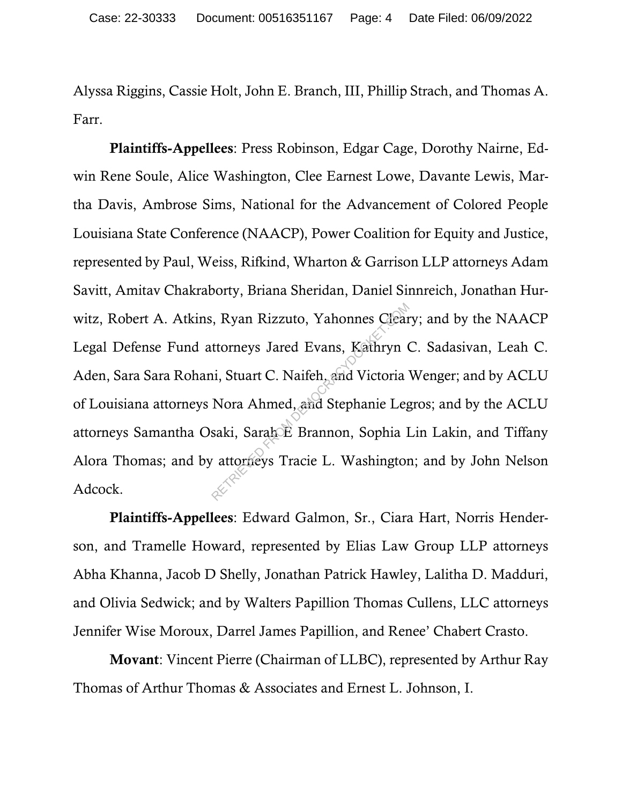Alyssa Riggins, Cassie Holt, John E. Branch, III, Phillip Strach, and Thomas A. Farr.

Plaintiffs-Appellees: Press Robinson, Edgar Cage, Dorothy Nairne, Edwin Rene Soule, Alice Washington, Clee Earnest Lowe, Davante Lewis, Martha Davis, Ambrose Sims, National for the Advancement of Colored People Louisiana State Conference (NAACP), Power Coalition for Equity and Justice, represented by Paul, Weiss, Rifkind, Wharton & Garrison LLP attorneys Adam Savitt, Amitav Chakraborty, Briana Sheridan, Daniel Sinnreich, Jonathan Hurwitz, Robert A. Atkins, Ryan Rizzuto, Yahonnes Cleary; and by the NAACP Legal Defense Fund attorneys Jared Evans, Kathryn C. Sadasivan, Leah C. Aden, Sara Sara Rohani, Stuart C. Naifeh, and Victoria Wenger; and by ACLU of Louisiana attorneys Nora Ahmed, and Stephanie Legros; and by the ACLU attorneys Samantha Osaki, Sarah E Brannon, Sophia Lin Lakin, and Tiffany Alora Thomas; and by attorneys Tracie L. Washington; and by John Nelson Adcock. RETRIEU SCHOLEN (R. 1916)<br>RETRIEVED FROM DEMOCRATIST UNITS NOTA Ahmed, and Stephanie Leg<br>Saki, Sarah E Brannon, Sophia I<br>Tractocket Brannon, Sophia I<br>Tractocket and Stephanie Leg<br>Retrieved Tractic L. Washington

Plaintiffs-Appellees: Edward Galmon, Sr., Ciara Hart, Norris Henderson, and Tramelle Howard, represented by Elias Law Group LLP attorneys Abha Khanna, Jacob D Shelly, Jonathan Patrick Hawley, Lalitha D. Madduri, and Olivia Sedwick; and by Walters Papillion Thomas Cullens, LLC attorneys Jennifer Wise Moroux, Darrel James Papillion, and Renee' Chabert Crasto.

Movant: Vincent Pierre (Chairman of LLBC), represented by Arthur Ray Thomas of Arthur Thomas & Associates and Ernest L. Johnson, I.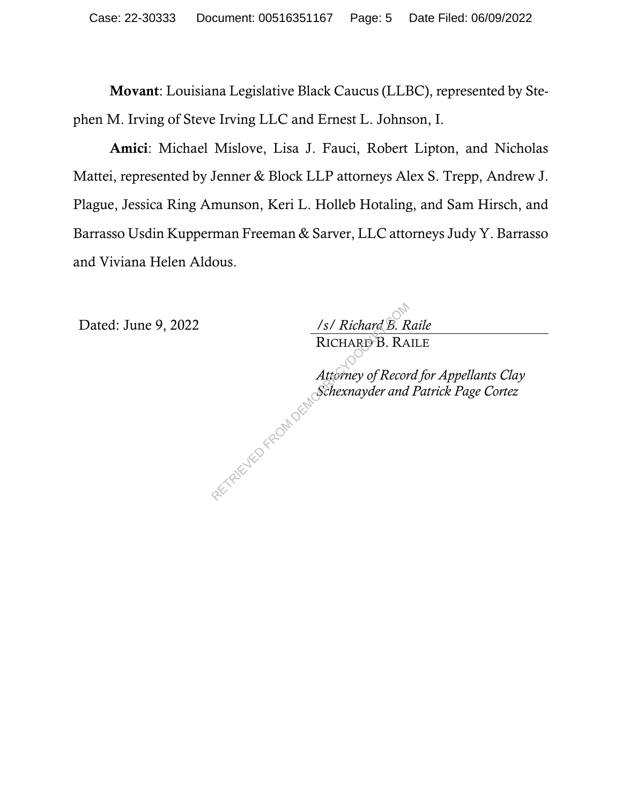Movant: Louisiana Legislative Black Caucus (LLBC), represented by Stephen M. Irving of Steve Irving LLC and Ernest L. Johnson, I.

Amici: Michael Mislove, Lisa J. Fauci, Robert Lipton, and Nicholas Mattei, represented by Jenner & Block LLP attorneys Alex S. Trepp, Andrew J. Plague, Jessica Ring Amunson, Keri L. Holleb Hotaling, and Sam Hirsch, and Barrasso Usdin Kupperman Freeman & Sarver, LLC attorneys Judy Y. Barrasso and Viviana Helen Aldous.

Dated: June 9, 2022 */s/ Richard B. Raile*

RICHARD B. RAILE

*Attorney of Record for Appellants Clay Schexnayder and Patrick Page Cortez*   $\frac{1}{s}$  RICHARD B. RA<br>RICHARD B. RA<br>Attorney of Recor<br>Schexnayder and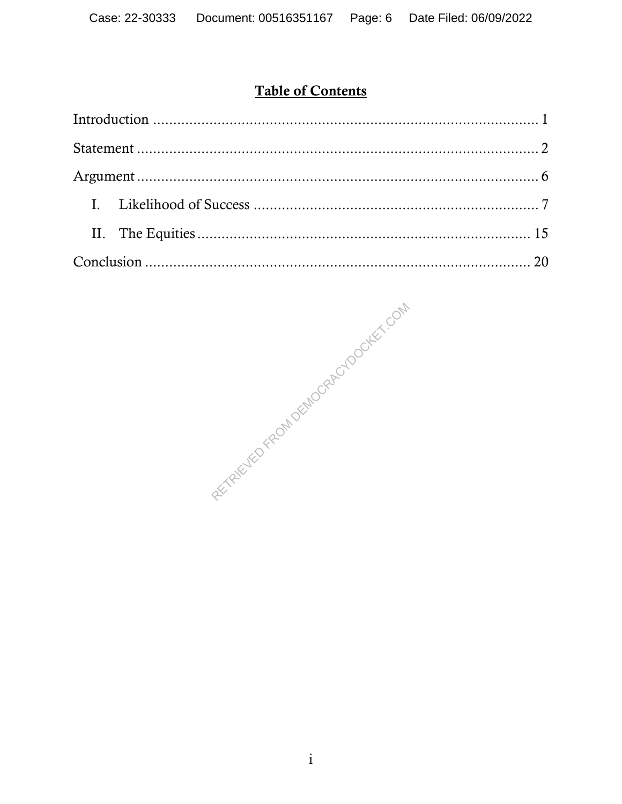# **Table of Contents**

REFIT REFUELD FROM DEMOCRAPION AFT. COM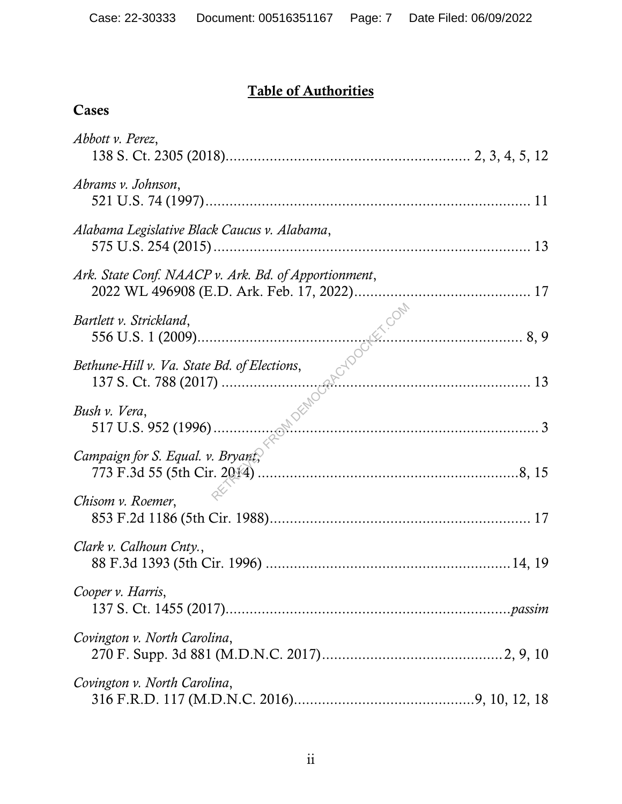# Table of Authorities

Cases

| Abbott v. Perez,                                     |  |
|------------------------------------------------------|--|
| Abrams v. Johnson,                                   |  |
| Alabama Legislative Black Caucus v. Alabama,         |  |
| Ark. State Conf. NAACP v. Ark. Bd. of Apportionment, |  |
| Bartlett v. Strickland,                              |  |
| Bethune-Hill v. Va. State Bd. of Elections,          |  |
| $\frac{13}{517}$ U.S. 952 (1996).<br>Bush v. Vera,   |  |
| Campaign for S. Equal. v. Bryant,                    |  |
| Chisom v. Roemer,                                    |  |
| Clark v. Calhoun Cnty.,                              |  |
| Cooper v. Harris,                                    |  |
| Covington v. North Carolina,                         |  |
| Covington v. North Carolina,                         |  |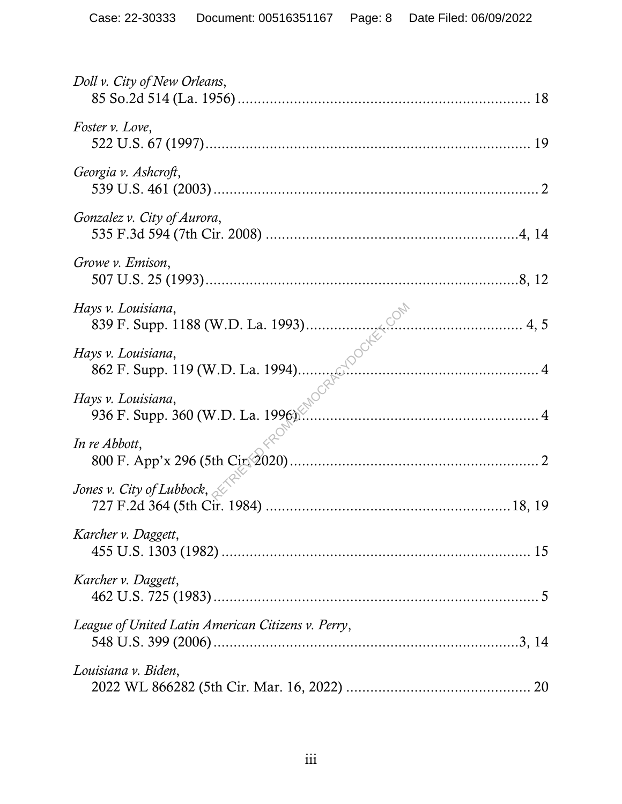| Doll v. City of New Orleans,<br>18                      |
|---------------------------------------------------------|
| Foster v. Love,                                         |
| Georgia v. Ashcroft,                                    |
| Gonzalez v. City of Aurora,                             |
| Growe v. Emison,                                        |
| Hays v. Louisiana,<br>839 F. Supp. 1188 (W.D. La. 1993) |
| Hays v. Louisiana,                                      |
| Hays v. Louisiana,<br>936 F. Supp. 360 (W.D. La. 1996). |
| In re Abbott,                                           |
| Jones v. City of Lubbock, $\leq$                        |
| Karcher v. Daggett,                                     |
| Karcher v. Daggett,                                     |
| League of United Latin American Citizens v. Perry,      |
| Louisiana v. Biden,                                     |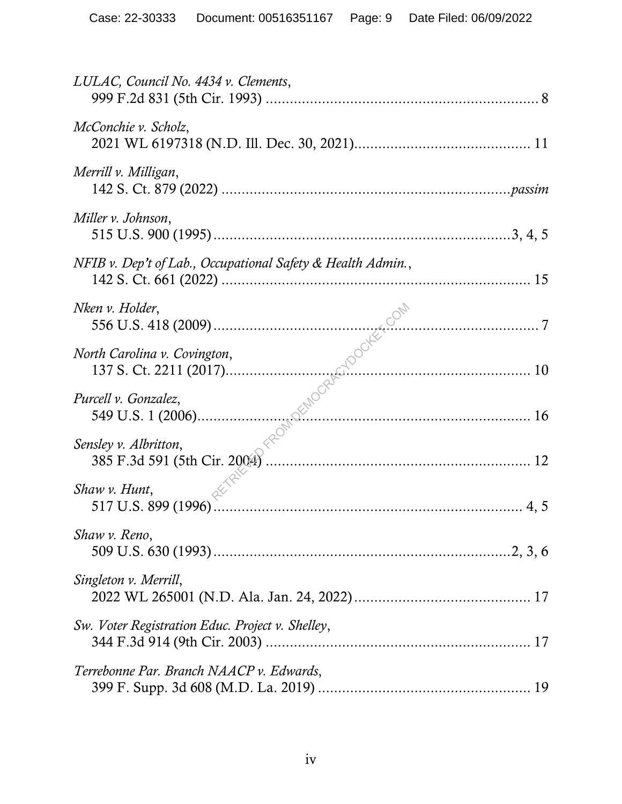| LULAC, Council No. 4434 v. Clements,                                                                                                                                                                                                                          |
|---------------------------------------------------------------------------------------------------------------------------------------------------------------------------------------------------------------------------------------------------------------|
| McConchie v. Scholz,                                                                                                                                                                                                                                          |
| Merrill v. Milligan,                                                                                                                                                                                                                                          |
| Miller v. Johnson,                                                                                                                                                                                                                                            |
| NFIB v. Dep't of Lab., Occupational Safety & Health Admin.,                                                                                                                                                                                                   |
| Nken v. Holder,                                                                                                                                                                                                                                               |
| North Carolina v. Covington,                                                                                                                                                                                                                                  |
| Purcell v. Gonzalez,                                                                                                                                                                                                                                          |
| Example 1. The U.S. 418 (2009)<br>137 S. Ct. 2211 (2017)<br>137 S. Ct. 2211 (2017)<br>10<br>16<br>16<br>16<br>17 S. Ct. 2006)<br>16<br>16<br>17 S. Albritton,<br>16<br>18 New v. Albritton,<br>18 S. T. 385 F.3d 591 (5th Cir. 2004)<br>Sensley v. Albritton, |
| Shaw v. Hunt,                                                                                                                                                                                                                                                 |
| Shaw v. Reno,                                                                                                                                                                                                                                                 |
| Singleton v. Merrill,                                                                                                                                                                                                                                         |
| Sw. Voter Registration Educ. Project v. Shelley,                                                                                                                                                                                                              |
| Terrebonne Par. Branch NAACP v. Edwards,                                                                                                                                                                                                                      |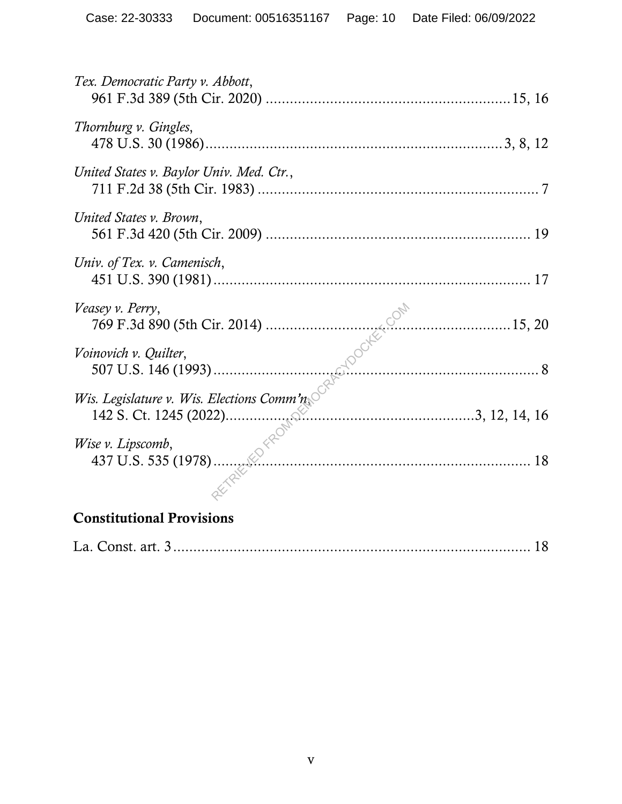| Tex. Democratic Party v. Abbott,           |  |
|--------------------------------------------|--|
| Thornburg v. Gingles,                      |  |
| United States v. Baylor Univ. Med. Ctr.,   |  |
| United States v. Brown,                    |  |
| Univ. of Tex. v. Camenisch,                |  |
| Veasey v. Perry,                           |  |
| Voinovich v. Quilter,                      |  |
| Wis. Legislature v. Wis. Elections Comm'n, |  |
| Wise v. Lipscomb,                          |  |
| <b>Constitutional Provisions</b>           |  |

|--|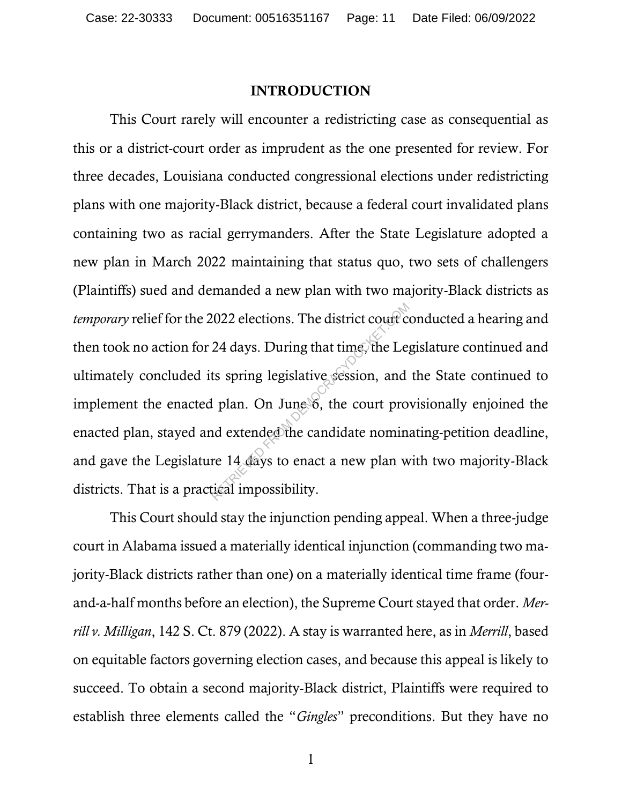#### INTRODUCTION

This Court rarely will encounter a redistricting case as consequential as this or a district-court order as imprudent as the one presented for review. For three decades, Louisiana conducted congressional elections under redistricting plans with one majority-Black district, because a federal court invalidated plans containing two as racial gerrymanders. After the State Legislature adopted a new plan in March 2022 maintaining that status quo, two sets of challengers (Plaintiffs) sued and demanded a new plan with two majority-Black districts as *temporary* relief for the 2022 elections. The district court conducted a hearing and then took no action for 24 days. During that time, the Legislature continued and ultimately concluded its spring legislative session, and the State continued to implement the enacted plan. On June 6, the court provisionally enjoined the enacted plan, stayed and extended the candidate nominating-petition deadline, and gave the Legislature 14 days to enact a new plan with two majority-Black districts. That is a practical impossibility. 2022 elections. The district court court court court can all plan. On June 6, the court pro<br>nd extended the candidate nominal extended the candidate nominal extended the candidate nominal re 14 days to enact a new plan whi

This Court should stay the injunction pending appeal. When a three-judge court in Alabama issued a materially identical injunction (commanding two majority-Black districts rather than one) on a materially identical time frame (fourand-a-half months before an election), the Supreme Court stayed that order. *Merrill v. Milligan*, 142 S. Ct. 879 (2022). A stay is warranted here, as in *Merrill*, based on equitable factors governing election cases, and because this appeal is likely to succeed. To obtain a second majority-Black district, Plaintiffs were required to establish three elements called the "*Gingles*" preconditions. But they have no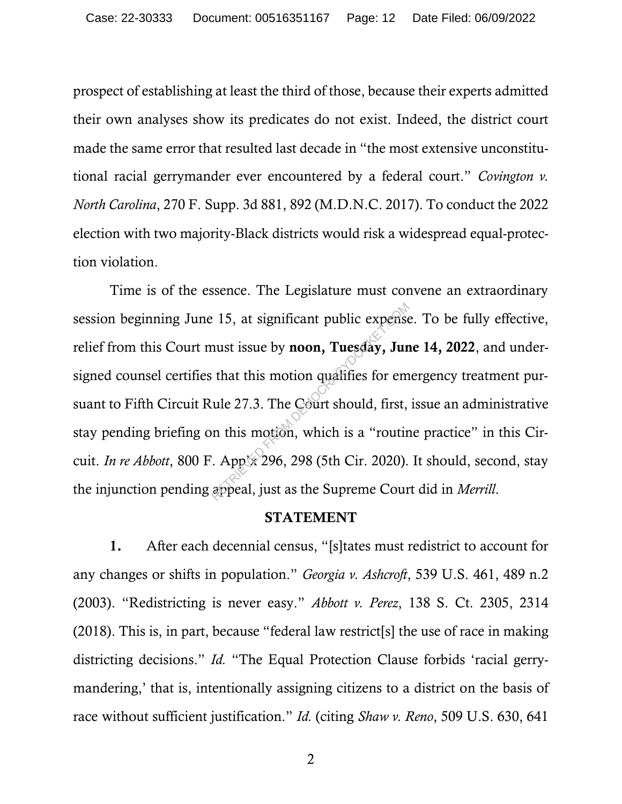prospect of establishing at least the third of those, because their experts admitted their own analyses show its predicates do not exist. Indeed, the district court made the same error that resulted last decade in "the most extensive unconstitutional racial gerrymander ever encountered by a federal court." *Covington v. North Carolina*, 270 F. Supp. 3d 881, 892 (M.D.N.C. 2017). To conduct the 2022 election with two majority-Black districts would risk a widespread equal-protection violation.

Time is of the essence. The Legislature must convene an extraordinary session beginning June 15, at significant public expense. To be fully effective, relief from this Court must issue by noon, Tuesday, June 14, 2022, and undersigned counsel certifies that this motion qualifies for emergency treatment pursuant to Fifth Circuit Rule 27.3. The Court should, first, issue an administrative stay pending briefing on this motion, which is a "routine practice" in this Circuit. *In re Abbott*, 800 F. App'x 296, 298 (5th Cir. 2020). It should, second, stay the injunction pending appeal, just as the Supreme Court did in *Merrill*. 15, at significant public expense<br>
nust issue by **noon, Tuesday, Jun**<br>
that this motion qualifies for em<br>
ule 27.3. The Court should, first,<br>
in this motion, which is a "routir<br>
App 296, 298 (5th Cir. 2020).<br>
appeal, just

#### STATEMENT

1. After each decennial census, "[s]tates must redistrict to account for any changes or shifts in population." *Georgia v. Ashcroft*, 539 U.S. 461, 489 n.2 (2003). "Redistricting is never easy." *Abbott v. Perez*, 138 S. Ct. 2305, 2314 (2018). This is, in part, because "federal law restrict[s] the use of race in making districting decisions." *Id.* "The Equal Protection Clause forbids 'racial gerrymandering,' that is, intentionally assigning citizens to a district on the basis of race without sufficient justification." *Id.* (citing *Shaw v. Reno*, 509 U.S. 630, 641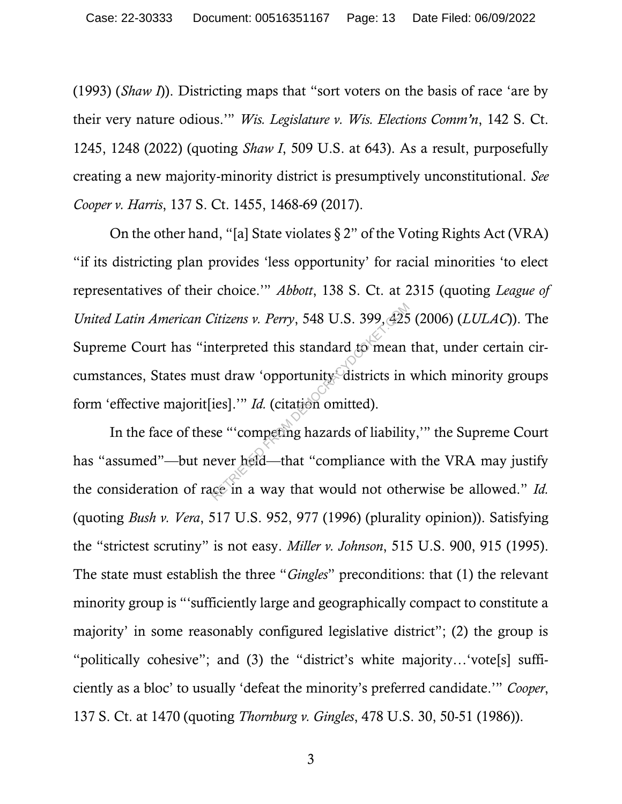(1993) (*Shaw I*)). Districting maps that "sort voters on the basis of race 'are by their very nature odious.'" *Wis. Legislature v. Wis. Elections Comm'n*, 142 S. Ct. 1245, 1248 (2022) (quoting *Shaw I*, 509 U.S. at 643). As a result, purposefully creating a new majority-minority district is presumptively unconstitutional. *See Cooper v. Harris*, 137 S. Ct. 1455, 1468-69 (2017).

On the other hand, "[a] State violates  $\S 2$ " of the Voting Rights Act (VRA) "if its districting plan provides 'less opportunity' for racial minorities 'to elect representatives of their choice.'" *Abbott*, 138 S. Ct. at 2315 (quoting *League of United Latin American Citizens v. Perry*, 548 U.S. 399, 425 (2006) (*LULAC*)). The Supreme Court has "interpreted this standard to mean that, under certain circumstances, States must draw 'opportunity' districts in which minority groups form 'effective majorit[ies].'" *Id.* (citation omitted). Citizens v. Perry, 548 U.S. 399, 425<br>
iterpreted this standard to mean<br>
st draw 'opportunity districts in<br>
ies].'" Id. (citation omitted).<br>
se "'competing hazards of liability<br>
ever held—that "compliance wit

In the face of these "'competing hazards of liability,'" the Supreme Court has "assumed"—but never held—that "compliance with the VRA may justify the consideration of race in a way that would not otherwise be allowed." *Id.* (quoting *Bush v. Vera*, 517 U.S. 952, 977 (1996) (plurality opinion)). Satisfying the "strictest scrutiny" is not easy. *Miller v. Johnson*, 515 U.S. 900, 915 (1995). The state must establish the three "*Gingles*" preconditions: that (1) the relevant minority group is "'sufficiently large and geographically compact to constitute a majority' in some reasonably configured legislative district"; (2) the group is "politically cohesive"; and (3) the "district's white majority…'vote[s] sufficiently as a bloc' to usually 'defeat the minority's preferred candidate.'" *Cooper*, 137 S. Ct. at 1470 (quoting *Thornburg v. Gingles*, 478 U.S. 30, 50-51 (1986)).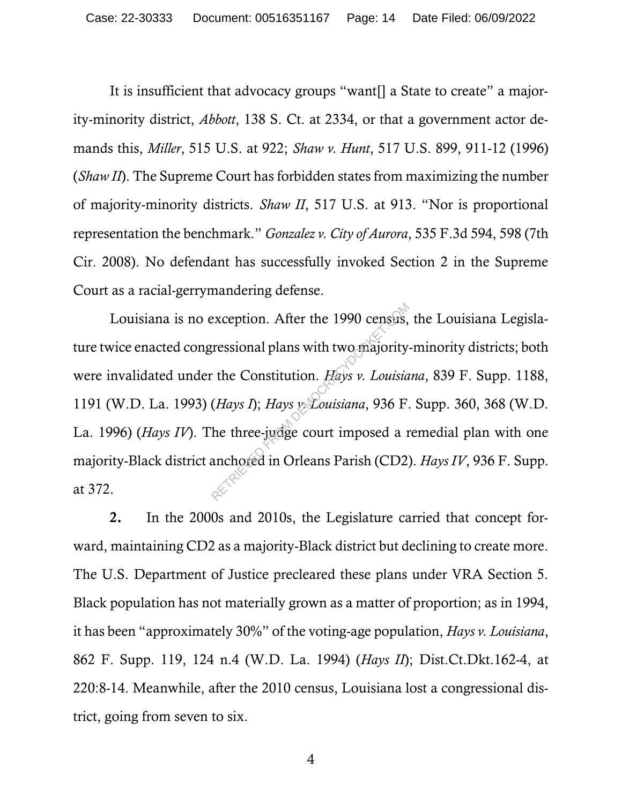It is insufficient that advocacy groups "want[] a State to create" a majority-minority district, *Abbott*, 138 S. Ct. at 2334, or that a government actor demands this, *Miller*, 515 U.S. at 922; *Shaw v. Hunt*, 517 U.S. 899, 911-12 (1996) (*Shaw II*). The Supreme Court has forbidden states from maximizing the number of majority-minority districts. *Shaw II*, 517 U.S. at 913. "Nor is proportional representation the benchmark." *Gonzalez v. City of Aurora*, 535 F.3d 594, 598 (7th Cir. 2008). No defendant has successfully invoked Section 2 in the Supreme Court as a racial-gerrymandering defense.

Louisiana is no exception. After the 1990 census, the Louisiana Legislature twice enacted congressional plans with two majority-minority districts; both were invalidated under the Constitution. *Hays v. Louisiana*, 839 F. Supp. 1188, 1191 (W.D. La. 1993) (*Hays I*); *Hays v. Louisiana*, 936 F. Supp. 360, 368 (W.D. La. 1996) (*Hays IV*). The three-judge court imposed a remedial plan with one majority-Black district anchored in Orleans Parish (CD2). *Hays IV*, 936 F. Supp. at 372. exception. After the 1990 census,<br>ressional plans with two majority<br>the Constitution. Hays v. Louisia<br>(Hays I); Hays v. Louisiana, 936 F.<br>he three-judge court imposed a r<br>anchored in Orleans Parish (CD2)

2. In the 2000s and 2010s, the Legislature carried that concept forward, maintaining CD2 as a majority-Black district but declining to create more. The U.S. Department of Justice precleared these plans under VRA Section 5. Black population has not materially grown as a matter of proportion; as in 1994, it has been "approximately 30%" of the voting-age population, *Hays v. Louisiana*, 862 F. Supp. 119, 124 n.4 (W.D. La. 1994) (*Hays II*); Dist.Ct.Dkt.162-4, at 220:8-14. Meanwhile, after the 2010 census, Louisiana lost a congressional district, going from seven to six.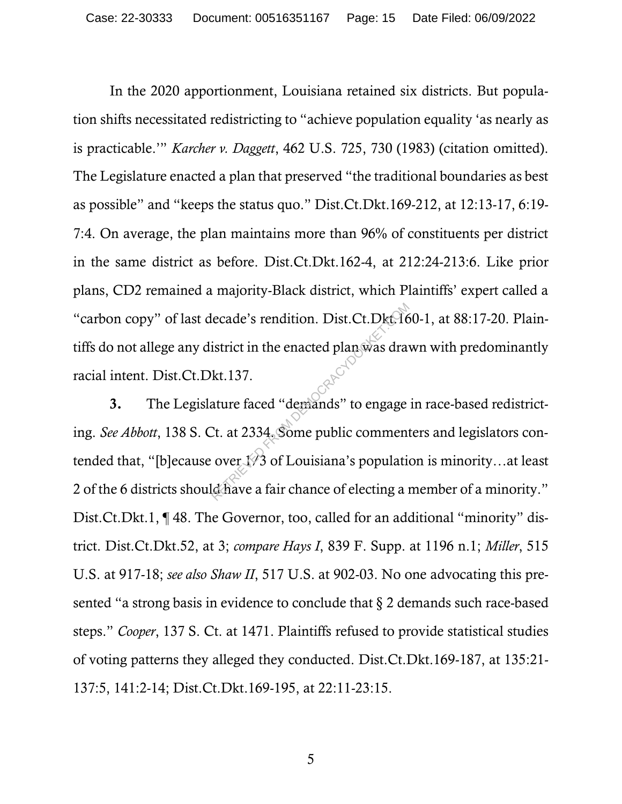In the 2020 apportionment, Louisiana retained six districts. But population shifts necessitated redistricting to "achieve population equality 'as nearly as is practicable.'" *Karcher v. Daggett*, 462 U.S. 725, 730 (1983) (citation omitted). The Legislature enacted a plan that preserved "the traditional boundaries as best as possible" and "keeps the status quo." Dist.Ct.Dkt.169-212, at 12:13-17, 6:19- 7:4. On average, the plan maintains more than 96% of constituents per district in the same district as before. Dist.Ct.Dkt.162-4, at 212:24-213:6. Like prior plans, CD2 remained a majority-Black district, which Plaintiffs' expert called a "carbon copy" of last decade's rendition. Dist.Ct.Dkt.160-1, at 88:17-20. Plaintiffs do not allege any district in the enacted plan was drawn with predominantly racial intent. Dist.Ct.Dkt.137.

3. The Legislature faced "demands" to engage in race-based redistricting. *See Abbott*, 138 S. Ct. at 2334. Some public commenters and legislators contended that, "[b]ecause over  $\sqrt[1]{3}$  of Louisiana's population is minority...at least 2 of the 6 districts should have a fair chance of electing a member of a minority." Dist.Ct.Dkt.1, ¶48. The Governor, too, called for an additional "minority" district. Dist.Ct.Dkt.52, at 3; *compare Hays I*, 839 F. Supp. at 1196 n.1; *Miller*, 515 U.S. at 917-18; *see also Shaw II*, 517 U.S. at 902-03. No one advocating this presented "a strong basis in evidence to conclude that § 2 demands such race-based steps." *Cooper*, 137 S. Ct. at 1471. Plaintiffs refused to provide statistical studies of voting patterns they alleged they conducted. Dist.Ct.Dkt.169-187, at 135:21- 137:5, 141:2-14; Dist.Ct.Dkt.169-195, at 22:11-23:15. lecade's rendition. Dist.Ct.Dkt.16<br>istrict in the enacted plan was dra<br>kt.137.<br>ature faced "demands" to engage<br>Ct. at 2334. Some public comment<br>over 173 of Louisiana's population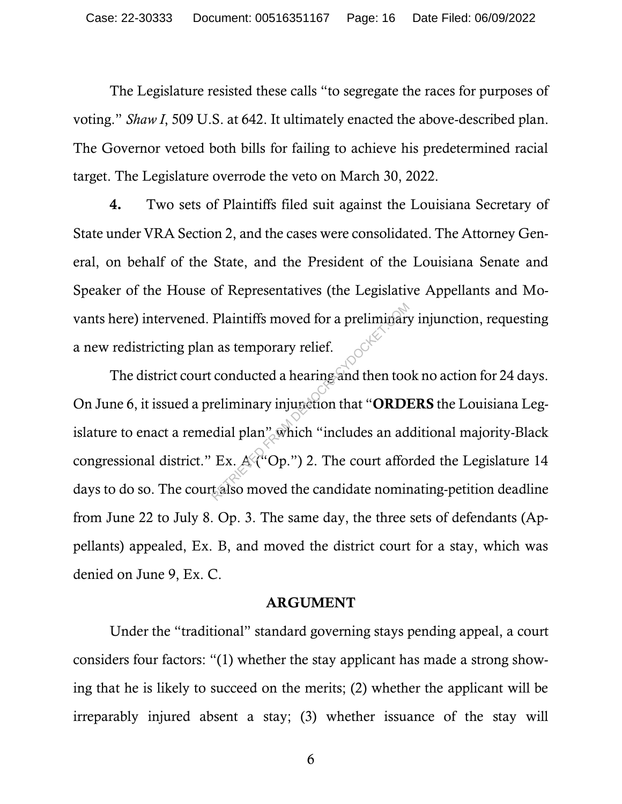The Legislature resisted these calls "to segregate the races for purposes of voting." *Shaw I*, 509 U.S. at 642. It ultimately enacted the above-described plan. The Governor vetoed both bills for failing to achieve his predetermined racial target. The Legislature overrode the veto on March 30, 2022.

4. Two sets of Plaintiffs filed suit against the Louisiana Secretary of State under VRA Section 2, and the cases were consolidated. The Attorney General, on behalf of the State, and the President of the Louisiana Senate and Speaker of the House of Representatives (the Legislative Appellants and Movants here) intervened. Plaintiffs moved for a preliminary injunction, requesting a new redistricting plan as temporary relief.

The district court conducted a hearing and then took no action for 24 days. On June 6, it issued a preliminary injunction that "ORDERS the Louisiana Legislature to enact a remedial plan" which "includes an additional majority-Black congressional district." Ex.  $A^{\mathcal{A}}$ "Op.") 2. The court afforded the Legislature 14 days to do so. The court also moved the candidate nominating-petition deadline from June 22 to July 8. Op. 3. The same day, the three sets of defendants (Appellants) appealed, Ex. B, and moved the district court for a stay, which was denied on June 9, Ex. C. Plaintiffs moved for a preliminary<br>
as temporary relief.<br>
conducted a hearing and then too<br>
reliminary injunction that "**ORD**<br>
dial plan" which "includes an ad<br>
Ex.  $A^{(u)}$ Op.") 2. The court affortals

#### ARGUMENT

Under the "traditional" standard governing stays pending appeal, a court considers four factors: "(1) whether the stay applicant has made a strong showing that he is likely to succeed on the merits; (2) whether the applicant will be irreparably injured absent a stay; (3) whether issuance of the stay will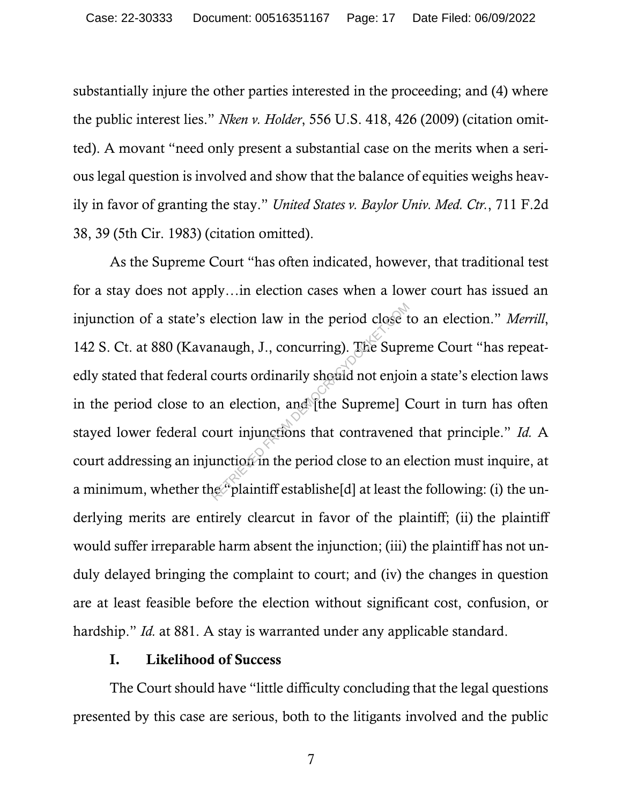substantially injure the other parties interested in the proceeding; and (4) where the public interest lies." *Nken v. Holder*, 556 U.S. 418, 426 (2009) (citation omitted). A movant "need only present a substantial case on the merits when a serious legal question is involved and show that the balance of equities weighs heavily in favor of granting the stay." *United States v. Baylor Univ. Med. Ctr.*, 711 F.2d 38, 39 (5th Cir. 1983) (citation omitted).

As the Supreme Court "has often indicated, however, that traditional test for a stay does not apply…in election cases when a lower court has issued an injunction of a state's election law in the period close to an election." *Merrill*, 142 S. Ct. at 880 (Kavanaugh, J., concurring). The Supreme Court "has repeatedly stated that federal courts ordinarily should not enjoin a state's election laws in the period close to an election, and [the Supreme] Court in turn has often stayed lower federal court injunctions that contravened that principle." *Id.* A court addressing an injunction in the period close to an election must inquire, at a minimum, whether the "plaintiff establishe<sup>[d]</sup> at least the following: (i) the underlying merits are entirely clearcut in favor of the plaintiff; (ii) the plaintiff would suffer irreparable harm absent the injunction; (iii) the plaintiff has not unduly delayed bringing the complaint to court; and (iv) the changes in question are at least feasible before the election without significant cost, confusion, or hardship." *Id.* at 881. A stay is warranted under any applicable standard. election law in the period close the<br>maugh, J., concurring). The Supre<br>courts ordinarily should not enjoint<br>an election, and [the Supreme] Court injunctions that contravened<br>unction in the period close to an energy plainti

### I. Likelihood of Success

The Court should have "little difficulty concluding that the legal questions presented by this case are serious, both to the litigants involved and the public

<sup>7</sup>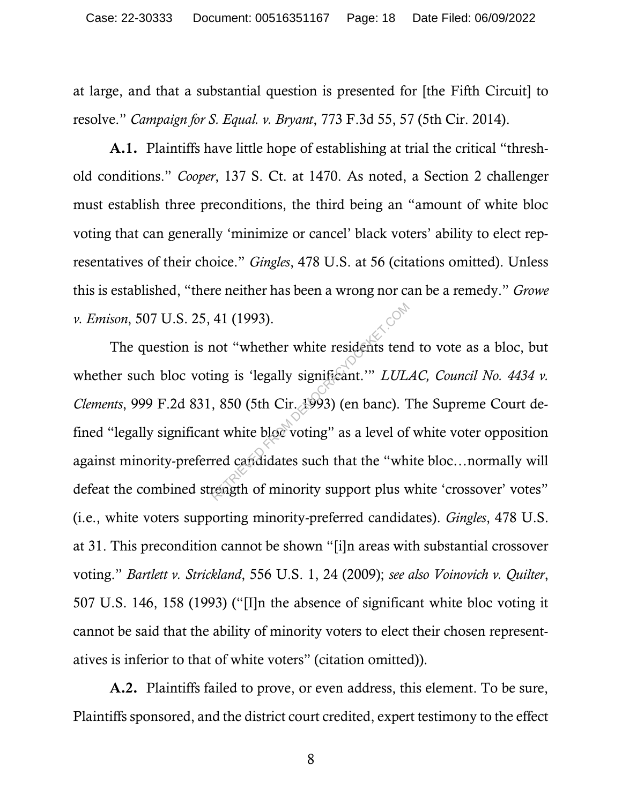at large, and that a substantial question is presented for [the Fifth Circuit] to resolve." *Campaign for S. Equal. v. Bryant*, 773 F.3d 55, 57 (5th Cir. 2014).

A.1. Plaintiffs have little hope of establishing at trial the critical "threshold conditions." *Cooper*, 137 S. Ct. at 1470. As noted, a Section 2 challenger must establish three preconditions, the third being an "amount of white bloc voting that can generally 'minimize or cancel' black voters' ability to elect representatives of their choice." *Gingles*, 478 U.S. at 56 (citations omitted). Unless this is established, "there neither has been a wrong nor can be a remedy." *Growe v. Emison*, 507 U.S. 25, 41 (1993).

The question is not "whether white residents tend to vote as a bloc, but whether such bloc voting is 'legally significant.'" *LULAC, Council No. 4434 v. Clements*, 999 F.2d 831, 850 (5th Cir. 1993) (en banc). The Supreme Court defined "legally significant white bloc voting" as a level of white voter opposition against minority-preferred candidates such that the "white bloc…normally will defeat the combined strength of minority support plus white 'crossover' votes" (i.e., white voters supporting minority-preferred candidates). *Gingles*, 478 U.S. at 31. This precondition cannot be shown "[i]n areas with substantial crossover voting." *Bartlett v. Strickland*, 556 U.S. 1, 24 (2009); *see also Voinovich v. Quilter*, 507 U.S. 146, 158 (1993) ("[I]n the absence of significant white bloc voting it cannot be said that the ability of minority voters to elect their chosen representatives is inferior to that of white voters" (citation omitted)). 41 (1993).<br>
not "whether white residents tend<br>
ing is 'legally significant.'" *LUL*<br>
, 850 (5th Cir. 1993) (en banc). The white bloc voting" as a level of<br>
red candidates such that the "wh<br>
reagth of minority support plus

A.2. Plaintiffs failed to prove, or even address, this element. To be sure, Plaintiffs sponsored, and the district court credited, expert testimony to the effect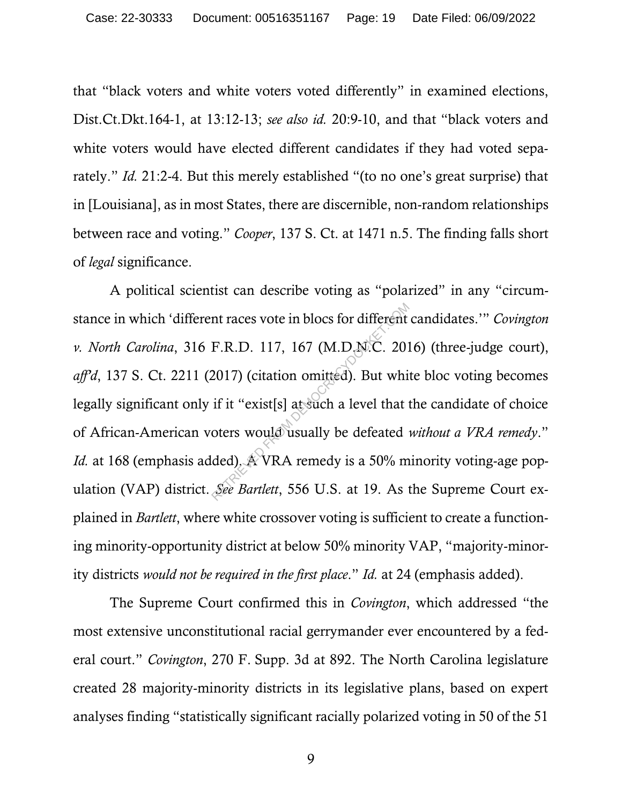that "black voters and white voters voted differently" in examined elections, Dist.Ct.Dkt.164-1, at 13:12-13; *see also id.* 20:9-10, and that "black voters and white voters would have elected different candidates if they had voted separately." *Id.* 21:2-4. But this merely established "(to no one's great surprise) that in [Louisiana], as in most States, there are discernible, non-random relationships between race and voting." *Cooper*, 137 S. Ct. at 1471 n.5. The finding falls short of *legal* significance.

A political scientist can describe voting as "polarized" in any "circumstance in which 'different races vote in blocs for different candidates.'" *Covington v. North Carolina*, 316 F.R.D. 117, 167 (M.D.N.C. 2016) (three-judge court), *aff'd*, 137 S. Ct. 2211 (2017) (citation omitted). But white bloc voting becomes legally significant only if it "exist[s] at such a level that the candidate of choice of African-American voters would usually be defeated *without a VRA remedy*." *Id.* at 168 (emphasis added). A VRA remedy is a 50% minority voting-age population (VAP) district. *See Bartlett*, 556 U.S. at 19. As the Supreme Court explained in *Bartlett*, where white crossover voting is sufficient to create a functioning minority-opportunity district at below 50% minority VAP, "majority-minority districts *would not be required in the first place*." *Id.* at 24 (emphasis added). nt races vote in blocs for different<br>F.R.D. 117, 167 (M.D.N.C. 201<br>2017) (citation omitted). But whi<br>if it "exist[s] at such a level that if<br>oters would usually be defeated<br>ded). A VRA remedy is a 50% m<br>See Bartlett, 556 U

The Supreme Court confirmed this in *Covington*, which addressed "the most extensive unconstitutional racial gerrymander ever encountered by a federal court." *Covington*, 270 F. Supp. 3d at 892. The North Carolina legislature created 28 majority-minority districts in its legislative plans, based on expert analyses finding "statistically significant racially polarized voting in 50 of the 51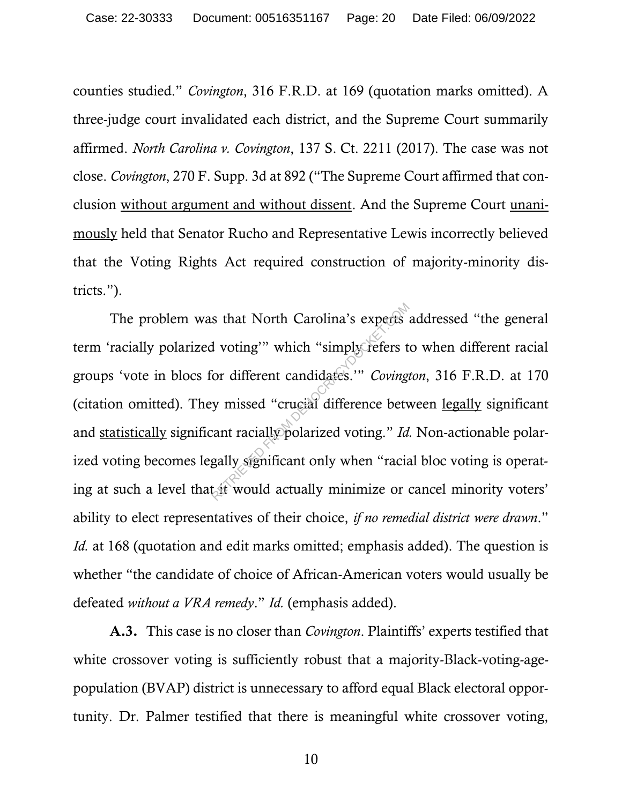counties studied." *Covington*, 316 F.R.D. at 169 (quotation marks omitted). A three-judge court invalidated each district, and the Supreme Court summarily affirmed. *North Carolina v. Covington*, 137 S. Ct. 2211 (2017). The case was not close. *Covington*, 270 F. Supp. 3d at 892 ("The Supreme Court affirmed that conclusion without argument and without dissent. And the Supreme Court unanimously held that Senator Rucho and Representative Lewis incorrectly believed that the Voting Rights Act required construction of majority-minority districts.").

The problem was that North Carolina's experts addressed "the general term 'racially polarized voting'" which "simply refers to when different racial groups 'vote in blocs for different candidates.'" *Covington*, 316 F.R.D. at 170 (citation omitted). They missed "crucial difference between legally significant and statistically significant racially polarized voting." *Id.* Non-actionable polarized voting becomes legally significant only when "racial bloc voting is operating at such a level that it would actually minimize or cancel minority voters' ability to elect representatives of their choice, *if no remedial district were drawn*." *Id.* at 168 (quotation and edit marks omitted; emphasis added). The question is whether "the candidate of choice of African-American voters would usually be defeated *without a VRA remedy*." *Id.* (emphasis added). s that North Carolina's experts<br>
I voting'" which "simply refers t<br>
for different candidates."" *Coving*<br>
y missed "crucial difference bety<br>
cant racially polarized voting." Id<br>
gally significant only when "racial<br>
tait wo

A.3. This case is no closer than *Covington*. Plaintiffs' experts testified that white crossover voting is sufficiently robust that a majority-Black-voting-agepopulation (BVAP) district is unnecessary to afford equal Black electoral opportunity. Dr. Palmer testified that there is meaningful white crossover voting,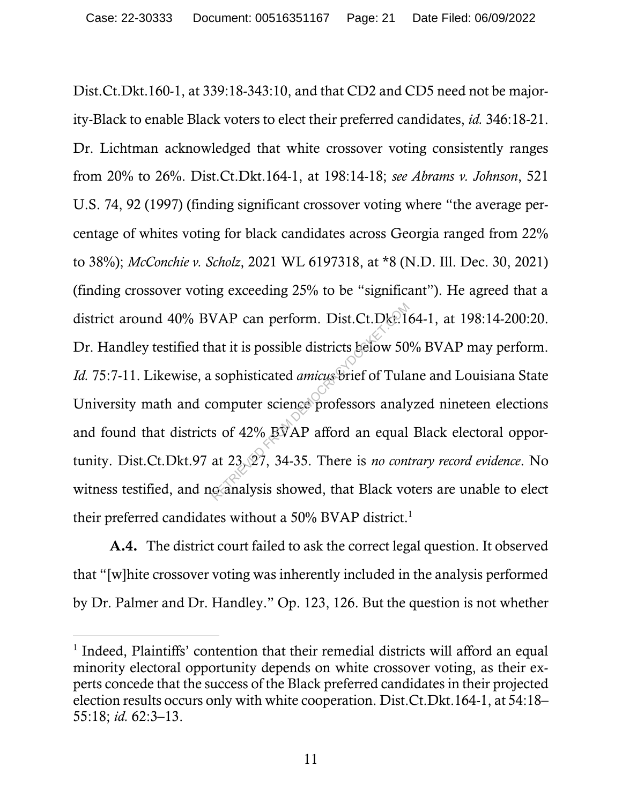Dist.Ct.Dkt.160-1, at 339:18-343:10, and that CD2 and CD5 need not be majority-Black to enable Black voters to elect their preferred candidates, *id.* 346:18-21. Dr. Lichtman acknowledged that white crossover voting consistently ranges from 20% to 26%. Dist.Ct.Dkt.164-1, at 198:14-18; *see Abrams v. Johnson*, 521 U.S. 74, 92 (1997) (finding significant crossover voting where "the average percentage of whites voting for black candidates across Georgia ranged from 22% to 38%); *McConchie v. Scholz*, 2021 WL 6197318, at \*8 (N.D. Ill. Dec. 30, 2021) (finding crossover voting exceeding 25% to be "significant"). He agreed that a district around 40% BVAP can perform. Dist.Ct.Dkt.164-1, at 198:14-200:20. Dr. Handley testified that it is possible districts below 50% BVAP may perform. *Id.* 75:7-11. Likewise, a sophisticated *amicus* brief of Tulane and Louisiana State University math and computer science professors analyzed nineteen elections and found that districts of 42% BVAP afford an equal Black electoral opportunity. Dist.Ct.Dkt.97 at 23, 27, 34-35. There is *no contrary record evidence*. No witness testified, and no analysis showed, that Black voters are unable to elect their preferred candidates without a 50% BVAP district.<sup>1</sup> VAP can perform. Dist.Ct.Dke.le<br>
at it is possible districts below 50<br>
sophisticated *amicus* brief of Tula<br>
omputer science professors analy<br>
s of 42% BVAP afford an equal<br>
at 23, 27, 34-35. There is *no con*<br>
ganalysis s

A.4. The district court failed to ask the correct legal question. It observed that "[w]hite crossover voting was inherently included in the analysis performed by Dr. Palmer and Dr. Handley." Op. 123, 126. But the question is not whether

<sup>&</sup>lt;sup>1</sup> Indeed, Plaintiffs' contention that their remedial districts will afford an equal minority electoral opportunity depends on white crossover voting, as their experts concede that the success of the Black preferred candidates in their projected election results occurs only with white cooperation. Dist.Ct.Dkt.164-1, at 54:18– 55:18; *id.* 62:3–13.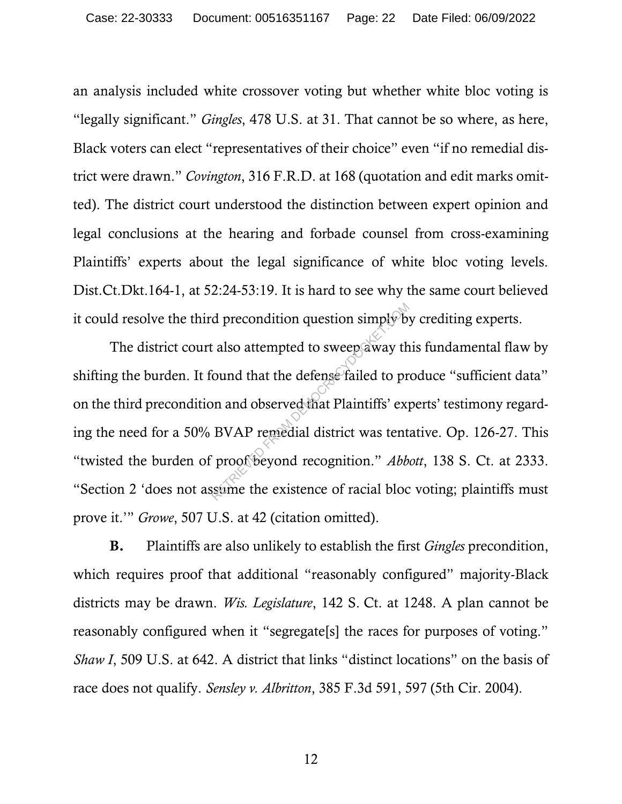an analysis included white crossover voting but whether white bloc voting is "legally significant." *Gingles*, 478 U.S. at 31. That cannot be so where, as here, Black voters can elect "representatives of their choice" even "if no remedial district were drawn." *Covington*, 316 F.R.D. at 168 (quotation and edit marks omitted). The district court understood the distinction between expert opinion and legal conclusions at the hearing and forbade counsel from cross-examining Plaintiffs' experts about the legal significance of white bloc voting levels. Dist.Ct.Dkt.164-1, at 52:24-53:19. It is hard to see why the same court believed it could resolve the third precondition question simply by crediting experts.

The district court also attempted to sweep away this fundamental flaw by shifting the burden. It found that the defense failed to produce "sufficient data" on the third precondition and observed that Plaintiffs' experts' testimony regarding the need for a 50% BVAP remedial district was tentative. Op. 126-27. This "twisted the burden of proof beyond recognition." *Abbott*, 138 S. Ct. at 2333. "Section 2 'does not assume the existence of racial bloc voting; plaintiffs must prove it.'" *Growe*, 507 U.S. at 42 (citation omitted). d precondition question simply by<br>t also attempted to sweep away th<br>ound that the defense failed to pr<br>on and observed that Plaintiffs' exp<br>BVAP remedial district was tent<br>proof beyond recognition." Abb

B. Plaintiffs are also unlikely to establish the first *Gingles* precondition, which requires proof that additional "reasonably configured" majority-Black districts may be drawn. *Wis. Legislature*, 142 S. Ct. at 1248. A plan cannot be reasonably configured when it "segregate[s] the races for purposes of voting." *Shaw I*, 509 U.S. at 642. A district that links "distinct locations" on the basis of race does not qualify. *Sensley v. Albritton*, 385 F.3d 591, 597 (5th Cir. 2004).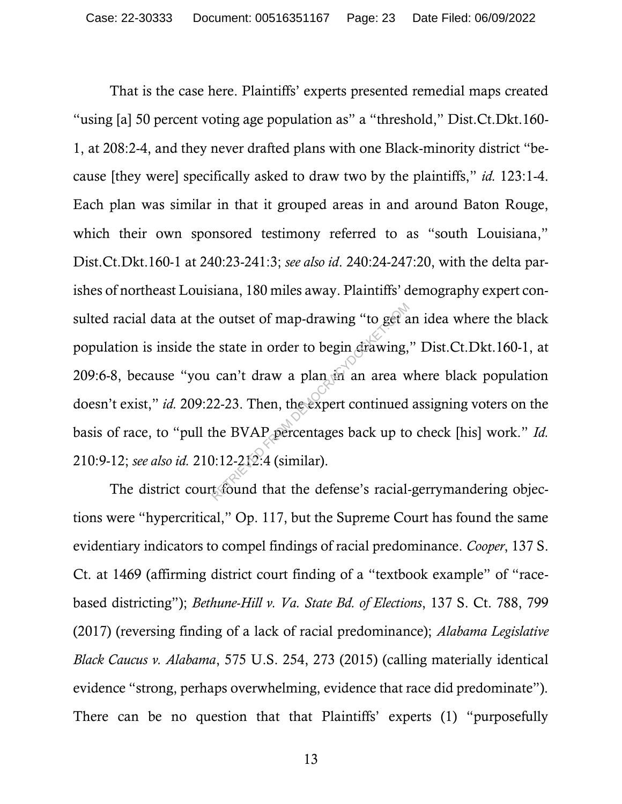That is the case here. Plaintiffs' experts presented remedial maps created "using [a] 50 percent voting age population as" a "threshold," Dist.Ct.Dkt.160- 1, at 208:2-4, and they never drafted plans with one Black-minority district "because [they were] specifically asked to draw two by the plaintiffs," *id.* 123:1-4. Each plan was similar in that it grouped areas in and around Baton Rouge, which their own sponsored testimony referred to as "south Louisiana," Dist.Ct.Dkt.160-1 at 240:23-241:3; *see also id*. 240:24-247:20, with the delta parishes of northeast Louisiana, 180 miles away. Plaintiffs' demography expert consulted racial data at the outset of map-drawing "to get an idea where the black population is inside the state in order to begin drawing," Dist.Ct.Dkt.160-1, at 209:6-8, because "you can't draw a plan  $\frac{1}{2}$  an area where black population doesn't exist," *id.* 209:22-23. Then, the expert continued assigning voters on the basis of race, to "pull the BVAP percentages back up to check [his] work." *Id.* 210:9-12; *see also id.* 210:12-212:4 (similar). references outset of map-drawing "to get a<br>
referred to begin drawing,<br>
can't draw a plan in an area w<br>
12-23. Then, the expert continued<br>
the BVAP percentages back up to<br>
1:12-212:4 (similar).<br>
t found that the defense's

The district court found that the defense's racial-gerrymandering objections were "hypercritical," Op. 117, but the Supreme Court has found the same evidentiary indicators to compel findings of racial predominance. *Cooper*, 137 S. Ct. at 1469 (affirming district court finding of a "textbook example" of "racebased districting"); *Bethune-Hill v. Va. State Bd. of Elections*, 137 S. Ct. 788, 799 (2017) (reversing finding of a lack of racial predominance); *Alabama Legislative Black Caucus v. Alabama*, 575 U.S. 254, 273 (2015) (calling materially identical evidence "strong, perhaps overwhelming, evidence that race did predominate"). There can be no question that that Plaintiffs' experts (1) "purposefully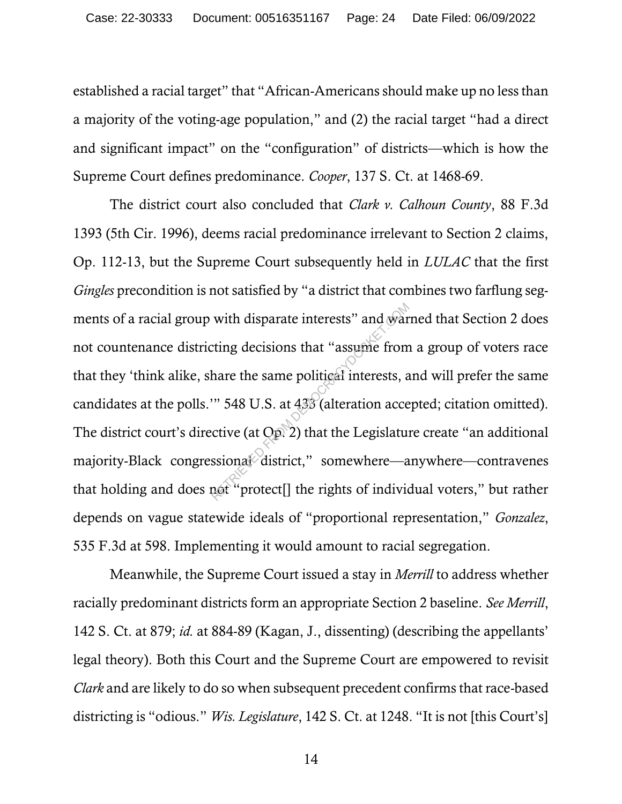established a racial target" that "African-Americans should make up no less than a majority of the voting-age population," and (2) the racial target "had a direct and significant impact" on the "configuration" of districts—which is how the Supreme Court defines predominance. *Cooper*, 137 S. Ct. at 1468-69.

The district court also concluded that *Clark v. Calhoun County*, 88 F.3d 1393 (5th Cir. 1996), deems racial predominance irrelevant to Section 2 claims, Op. 112-13, but the Supreme Court subsequently held in *LULAC* that the first *Gingles* precondition is not satisfied by "a district that combines two farflung segments of a racial group with disparate interests" and warned that Section 2 does not countenance districting decisions that "assume from a group of voters race that they 'think alike, share the same political interests, and will prefer the same candidates at the polls.'" 548 U.S. at 433 (alteration accepted; citation omitted). The district court's directive (at Op. 2) that the Legislature create "an additional majority-Black congressional district," somewhere—anywhere—contravenes that holding and does not "protect[] the rights of individual voters," but rather depends on vague statewide ideals of "proportional representation," *Gonzalez*, 535 F.3d at 598. Implementing it would amount to racial segregation. with disparate interests" and war<br>ting decisions that "assume from<br>hare the same political interests, a<br>"548 U.S. at 433 (alteration acce<br>ctive (at Op. 2) that the Legislature<br>ssional district," somewhere—a<br>not "protect[]

Meanwhile, the Supreme Court issued a stay in *Merrill* to address whether racially predominant districts form an appropriate Section 2 baseline. *See Merrill*, 142 S. Ct. at 879; *id.* at 884-89 (Kagan, J., dissenting) (describing the appellants' legal theory). Both this Court and the Supreme Court are empowered to revisit *Clark* and are likely to do so when subsequent precedent confirms that race-based districting is "odious." *Wis. Legislature*, 142 S. Ct. at 1248. "It is not [this Court's]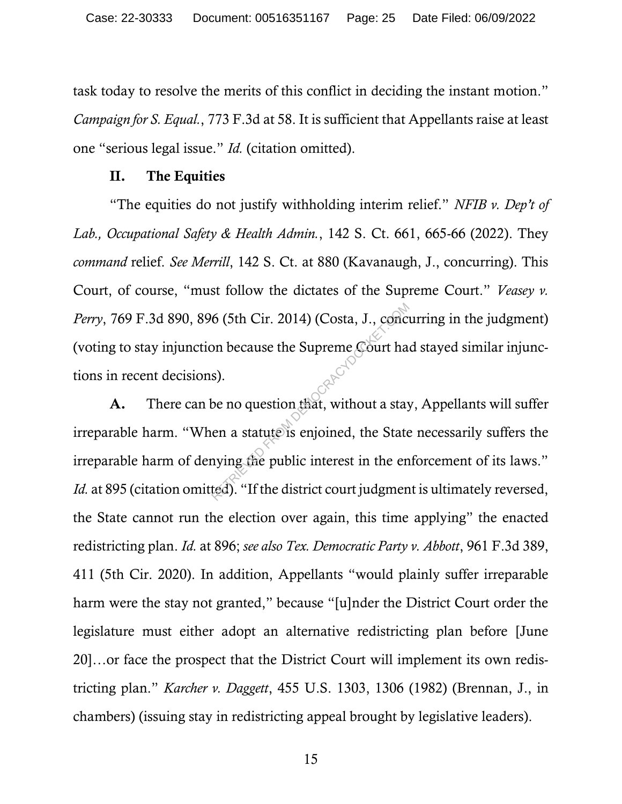task today to resolve the merits of this conflict in deciding the instant motion." *Campaign for S. Equal.*, 773 F.3d at 58. It is sufficient that Appellants raise at least one "serious legal issue." *Id.* (citation omitted).

### II. The Equities

"The equities do not justify withholding interim relief." *NFIB v. Dep't of Lab., Occupational Safety & Health Admin.*, 142 S. Ct. 661, 665-66 (2022). They *command* relief. *See Merrill*, 142 S. Ct. at 880 (Kavanaugh, J., concurring). This Court, of course, "must follow the dictates of the Supreme Court." *Veasey v. Perry*, 769 F.3d 890, 896 (5th Cir. 2014) (Costa, J., concurring in the judgment) (voting to stay injunction because the Supreme Court had stayed similar injunctions in recent decisions).

A. There can be no question that, without a stay, Appellants will suffer irreparable harm. "When a statute is enjoined, the State necessarily suffers the irreparable harm of denying the public interest in the enforcement of its laws." *Id.* at 895 (citation omitted). "If the district court judgment is ultimately reversed, the State cannot run the election over again, this time applying" the enacted redistricting plan. *Id.* at 896; *see also Tex. Democratic Party v. Abbott*, 961 F.3d 389, 411 (5th Cir. 2020). In addition, Appellants "would plainly suffer irreparable harm were the stay not granted," because "[u]nder the District Court order the legislature must either adopt an alternative redistricting plan before [June 20]…or face the prospect that the District Court will implement its own redistricting plan." *Karcher v. Daggett*, 455 U.S. 1303, 1306 (1982) (Brennan, J., in chambers) (issuing stay in redistricting appeal brought by legislative leaders). 6 (5th Cir. 2014) (Costa, J., concrete on because the Supreme Gourt has<br>s).<br>be no question that, without a stay<br>en a statute is enjoined, the State<br>nying the public interest in the ented). "If the district court judgment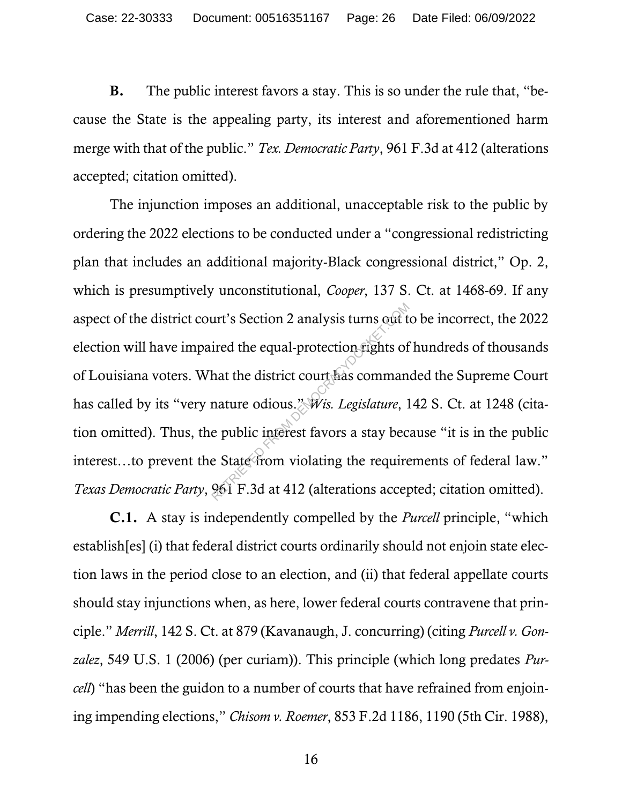B. The public interest favors a stay. This is so under the rule that, "because the State is the appealing party, its interest and aforementioned harm merge with that of the public." *Tex. Democratic Party*, 961 F.3d at 412 (alterations accepted; citation omitted).

The injunction imposes an additional, unacceptable risk to the public by ordering the 2022 elections to be conducted under a "congressional redistricting plan that includes an additional majority-Black congressional district," Op. 2, which is presumptively unconstitutional, *Cooper*, 137 S. Ct. at 1468-69. If any aspect of the district court's Section 2 analysis turns out to be incorrect, the 2022 election will have impaired the equal-protection rights of hundreds of thousands of Louisiana voters. What the district court has commanded the Supreme Court has called by its "very nature odious." *Wis. Legislature*, 142 S. Ct. at 1248 (citation omitted). Thus, the public interest favors a stay because "it is in the public interest…to prevent the State from violating the requirements of federal law." *Texas Democratic Party*, 961 F.3d at 412 (alterations accepted; citation omitted). urt's Section 2 analysis turns out t<br>ired the equal-protection rights of<br>hat the district court has comman<br>nature odious." Wis. Legislature, 1<br>e public interest favors a stay bec<br>e State from violating the require<br>961 F.3d

C.1. A stay is independently compelled by the *Purcell* principle, "which establish[es] (i) that federal district courts ordinarily should not enjoin state election laws in the period close to an election, and (ii) that federal appellate courts should stay injunctions when, as here, lower federal courts contravene that principle." *Merrill*, 142 S. Ct. at 879 (Kavanaugh, J. concurring) (citing *Purcell v. Gonzalez*, 549 U.S. 1 (2006) (per curiam)). This principle (which long predates *Purcell*) "has been the guidon to a number of courts that have refrained from enjoining impending elections," *Chisom v. Roemer*, 853 F.2d 1186, 1190 (5th Cir. 1988),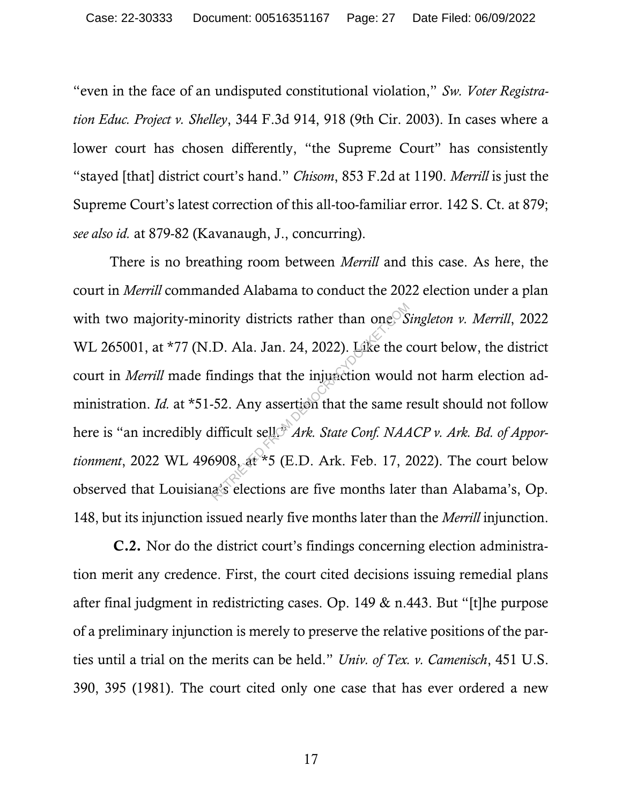"even in the face of an undisputed constitutional violation," *Sw. Voter Registration Educ. Project v. Shelley*, 344 F.3d 914, 918 (9th Cir. 2003). In cases where a lower court has chosen differently, "the Supreme Court" has consistently "stayed [that] district court's hand." *Chisom*, 853 F.2d at 1190. *Merrill* is just the Supreme Court's latest correction of this all-too-familiar error. 142 S. Ct. at 879; *see also id.* at 879-82 (Kavanaugh, J., concurring).

There is no breathing room between *Merrill* and this case. As here, the court in *Merrill* commanded Alabama to conduct the 2022 election under a plan with two majority-minority districts rather than one. *Singleton v. Merrill*, 2022 WL 265001, at \*77 (N.D. Ala. Jan. 24, 2022). Like the court below, the district court in *Merrill* made findings that the injunction would not harm election administration. *Id.* at \*51-52. Any assertion that the same result should not follow here is "an incredibly difficult sell.<sup>\*</sup> *Ark. State Conf. NAACP v. Ark. Bd. of Apportionment*, 2022 WL 496908, at \*5 (E.D. Ark. Feb. 17, 2022). The court below observed that Louisiana's elections are five months later than Alabama's, Op. 148, but its injunction issued nearly five months later than the *Merrill* injunction. ority districts rather than one<sup>S</sup>S<br>D. Ala. Jan. 24, 2022). Like the c<br>indings that the injunction would<br>52. Any assertish that the same r<br>lifficult sell *Ark. State Conf. NAA*<br>5908, at \*5 (E.D. Ark. Feb. 17, 2<br>a's electi

C.2. Nor do the district court's findings concerning election administration merit any credence. First, the court cited decisions issuing remedial plans after final judgment in redistricting cases. Op. 149 & n.443. But "[t]he purpose of a preliminary injunction is merely to preserve the relative positions of the parties until a trial on the merits can be held." *Univ. of Tex. v. Camenisch*, 451 U.S. 390, 395 (1981). The court cited only one case that has ever ordered a new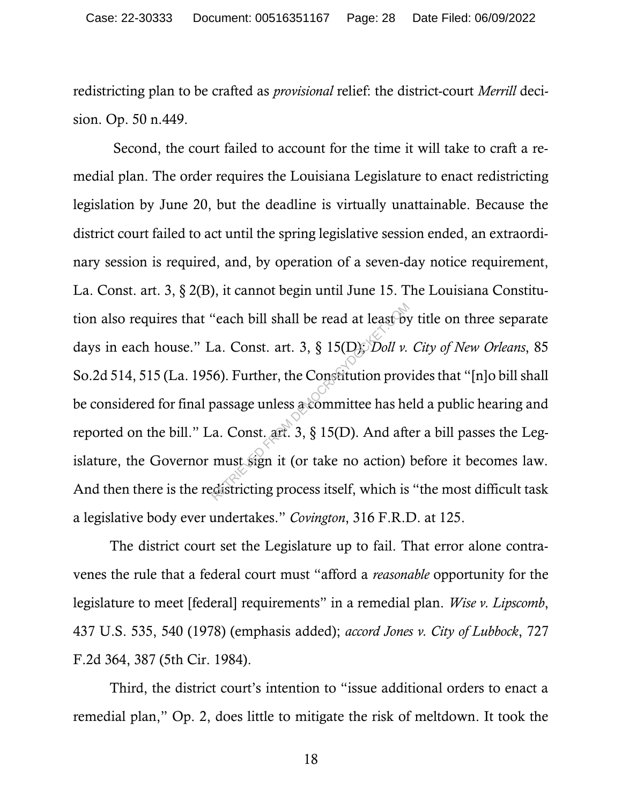redistricting plan to be crafted as *provisional* relief: the district-court *Merrill* decision. Op. 50 n.449.

Second, the court failed to account for the time it will take to craft a remedial plan. The order requires the Louisiana Legislature to enact redistricting legislation by June 20, but the deadline is virtually unattainable. Because the district court failed to act until the spring legislative session ended, an extraordinary session is required, and, by operation of a seven-day notice requirement, La. Const. art. 3, § 2(B), it cannot begin until June 15. The Louisiana Constitution also requires that "each bill shall be read at least by title on three separate days in each house." La. Const. art. 3, § 15(D); *Doll v. City of New Orleans*, 85 So.2d 514, 515 (La. 1956). Further, the Constitution provides that "[n]o bill shall be considered for final passage unless a committee has held a public hearing and reported on the bill." La. Const. art. 3, § 15(D). And after a bill passes the Legislature, the Governor must sign it (or take no action) before it becomes law. And then there is the redistricting process itself, which is "the most difficult task a legislative body ever undertakes." *Covington*, 316 F.R.D. at 125. "each bill shall be read at least by<br>
La. Const. art. 3, § 15(D): *Doll v*.<br>
6). Further, the Constitution prov<br>
passage unless a committee has he<br>
a. Const. art. 3, § 15(D). And aft<br>
must sign it (or take no action)<br>
dis

The district court set the Legislature up to fail. That error alone contravenes the rule that a federal court must "afford a *reasonable* opportunity for the legislature to meet [federal] requirements" in a remedial plan. *Wise v. Lipscomb*, 437 U.S. 535, 540 (1978) (emphasis added); *accord Jones v. City of Lubbock*, 727 F.2d 364, 387 (5th Cir. 1984).

Third, the district court's intention to "issue additional orders to enact a remedial plan," Op. 2, does little to mitigate the risk of meltdown. It took the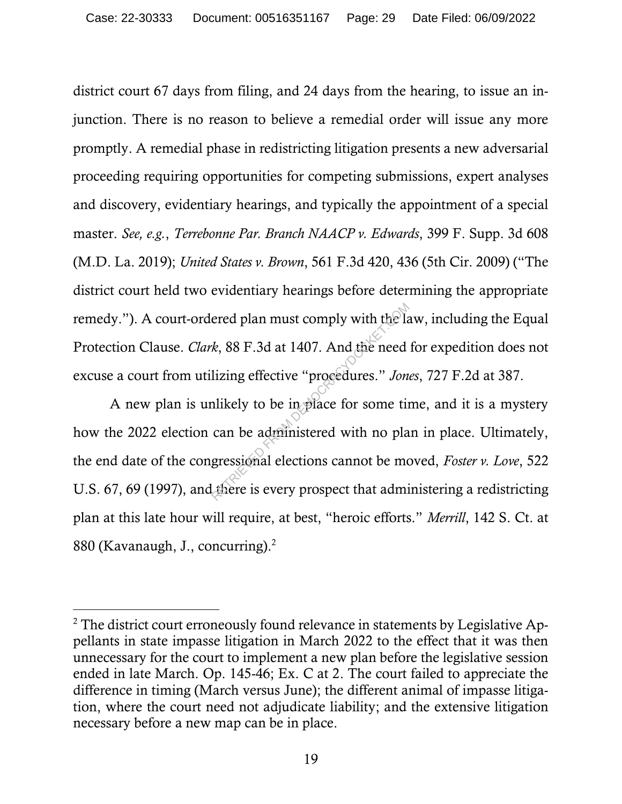district court 67 days from filing, and 24 days from the hearing, to issue an injunction. There is no reason to believe a remedial order will issue any more promptly. A remedial phase in redistricting litigation presents a new adversarial proceeding requiring opportunities for competing submissions, expert analyses and discovery, evidentiary hearings, and typically the appointment of a special master. *See, e.g.*, *Terrebonne Par. Branch NAACP v. Edwards*, 399 F. Supp. 3d 608 (M.D. La. 2019); *United States v. Brown*, 561 F.3d 420, 436 (5th Cir. 2009) ("The district court held two evidentiary hearings before determining the appropriate remedy."). A court-ordered plan must comply with the law, including the Equal Protection Clause. *Clark*, 88 F.3d at 1407. And the need for expedition does not excuse a court from utilizing effective "procedures." *Jones*, 727 F.2d at 387.

A new plan is unlikely to be in place for some time, and it is a mystery how the 2022 election can be administered with no plan in place. Ultimately, the end date of the congressional elections cannot be moved, *Foster v. Love*, 522 U.S. 67, 69 (1997), and there is every prospect that administering a redistricting plan at this late hour will require, at best, "heroic efforts." *Merrill*, 142 S. Ct. at 880 (Kavanaugh, J., concurring).<sup>2</sup> ered plan must comply with the la<br>
k, 88 F.3d at 1407. And the need<br>
lizing effective "procedures." Jon<br>
likely to be in place for some tin<br>
can be administered with no pla<br>
gressional elections cannot be mot<br>
there is eve

<sup>&</sup>lt;sup>2</sup> The district court erroneously found relevance in statements by Legislative Appellants in state impasse litigation in March 2022 to the effect that it was then unnecessary for the court to implement a new plan before the legislative session ended in late March. Op. 145-46; Ex. C at 2. The court failed to appreciate the difference in timing (March versus June); the different animal of impasse litigation, where the court need not adjudicate liability; and the extensive litigation necessary before a new map can be in place.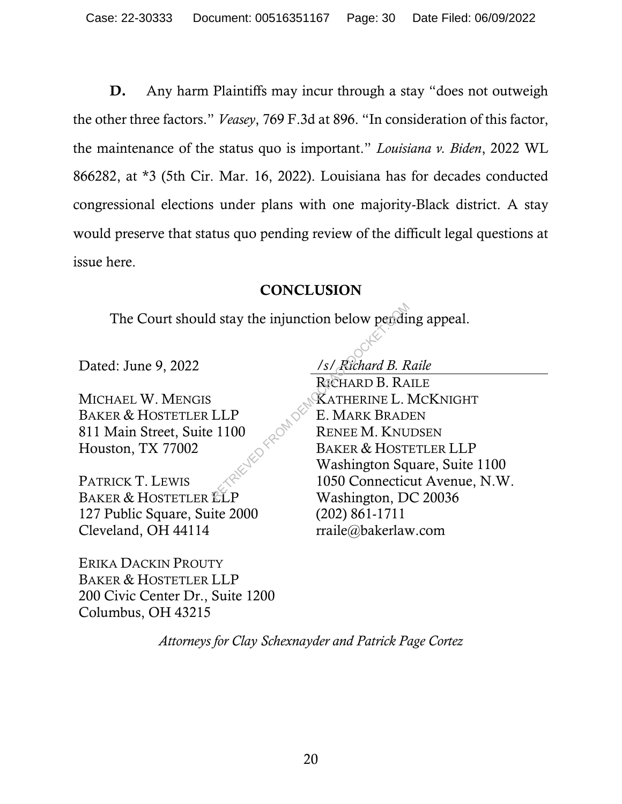D. Any harm Plaintiffs may incur through a stay "does not outweigh the other three factors." *Veasey*, 769 F.3d at 896. "In consideration of this factor, the maintenance of the status quo is important." *Louisiana v. Biden*, 2022 WL 866282, at \*3 (5th Cir. Mar. 16, 2022). Louisiana has for decades conducted congressional elections under plans with one majority-Black district. A stay would preserve that status quo pending review of the difficult legal questions at issue here.

## **CONCLUSION**

The Court should stay the injunction below pending appeal.

MICHAEL W. MENGIS BAKER & HOSTETLER LLP 811 Main Street, Suite 1100 Houston, TX 77002

PATRICK T. LEWIS BAKER & HOSTETLER ELP 127 Public Square, Suite 2000 Cleveland, OH 44114

ERIKA DACKIN PROUTY BAKER & HOSTETLER LLP 200 Civic Center Dr., Suite 1200 Columbus, OH 43215

Dated: June 9, 2022 */s/ Richard B. Raile*

RICHARD B. RAILE KATHERINE L. MCKNIGHT E. MARK BRADEN RENEE M. KNUDSEN BAKER & HOSTETLER LLP Washington Square, Suite 1100 1050 Connecticut Avenue, N.W. Washington, DC 20036 (202) 861-1711 rraile@bakerlaw.com Example 1100<br>
ERETARD B. RA<br>
RETARD B. RA<br>
RETARD B. RA<br>
E. MARK BRAD<br>
P. 1100<br>
BAKER & HOST<br>
Mashington Sq<br>
1050 Connectic<br>
Washington D<br>
Washington D

*Attorneys for Clay Schexnayder and Patrick Page Cortez*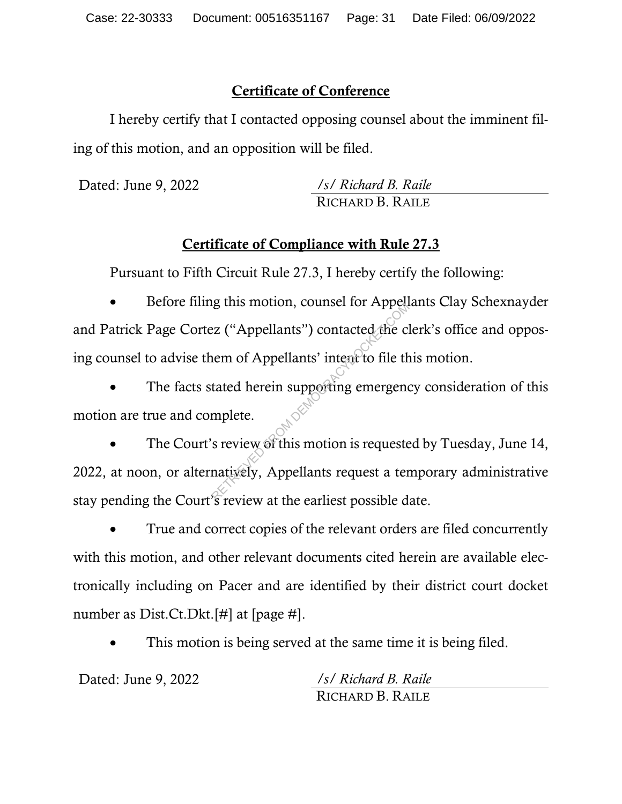## Certificate of Conference

I hereby certify that I contacted opposing counsel about the imminent filing of this motion, and an opposition will be filed.

Dated: June 9, 2022 */s/ Richard B. Raile* RICHARD B. RAILE

# Certificate of Compliance with Rule 27.3

Pursuant to Fifth Circuit Rule 27.3, I hereby certify the following:

• Before filing this motion, counsel for Appellants Clay Schexnayder and Patrick Page Cortez ("Appellants") contacted the clerk's office and opposing counsel to advise them of Appellants' intent to file this motion.

The facts stated herein supporting emergency consideration of this motion are true and complete.

The Court's review of this motion is requested by Tuesday, June 14, 2022, at noon, or alternatively, Appellants request a temporary administrative stay pending the Court's review at the earliest possible date. Example: Example 115 models.<br>The Contracted the common of Appellants' intent to file the<br>tated herein supporting emergency<br>mplete.<br>So review of this motion is requested at the continuent to the continuent of the continuent

• True and correct copies of the relevant orders are filed concurrently with this motion, and other relevant documents cited herein are available electronically including on Pacer and are identified by their district court docket number as Dist.Ct.Dkt.[#] at [page #].

This motion is being served at the same time it is being filed.

Dated: June 9, 2022 */s/ Richard B. Raile*

RICHARD B. RAILE